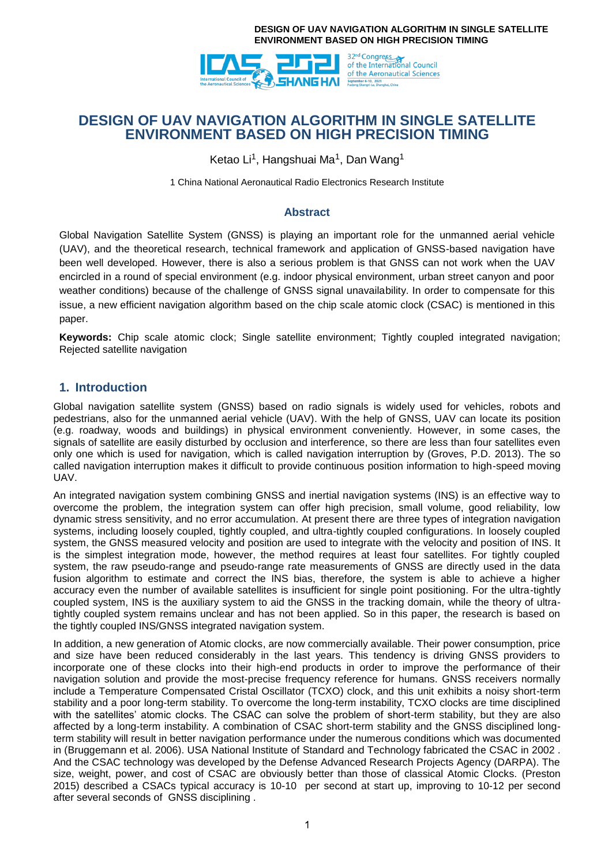

# **DESIGN OF UAV NAVIGATION ALGORITHM IN SINGLE SATELLITE ENVIRONMENT BASED ON HIGH PRECISION TIMING**

Ketao Li<sup>1</sup>, Hangshuai Ma<sup>1</sup>, Dan Wang<sup>1</sup>

1 China National Aeronautical Radio Electronics Research Institute

### **Abstract**

Global Navigation Satellite System (GNSS) is playing an important role for the unmanned aerial vehicle (UAV), and the theoretical research, technical framework and application of GNSS-based navigation have been well developed. However, there is also a serious problem is that GNSS can not work when the UAV encircled in a round of special environment (e.g. indoor physical environment, urban street canyon and poor weather conditions) because of the challenge of GNSS signal unavailability. In order to compensate for this issue, a new efficient navigation algorithm based on the chip scale atomic clock (CSAC) is mentioned in this paper.

**Keywords:** Chip scale atomic clock; Single satellite environment; Tightly coupled integrated navigation; Rejected satellite navigation

### **1. Introduction**

Global navigation satellite system (GNSS) based on radio signals is widely used for vehicles, robots and pedestrians, also for the unmanned aerial vehicle (UAV). With the help of GNSS, UAV can locate its position (e.g. roadway, woods and buildings) in physical environment conveniently. However, in some cases, the signals of satellite are easily disturbed by occlusion and interference, so there are less than four satellites even only one which is used for navigation, which is called navigation interruption by (Groves, P.D. 2013). The so called navigation interruption makes it difficult to provide continuous position information to high-speed moving UAV.

An integrated navigation system combining GNSS and inertial navigation systems (INS) is an effective way to overcome the problem, the integration system can offer high precision, small volume, good reliability, low dynamic stress sensitivity, and no error accumulation. At present there are three types of integration navigation systems, including loosely coupled, tightly coupled, and ultra-tightly coupled configurations. In loosely coupled system, the GNSS measured velocity and position are used to integrate with the velocity and position of INS. It is the simplest integration mode, however, the method requires at least four satellites. For tightly coupled system, the raw pseudo-range and pseudo-range rate measurements of GNSS are directly used in the data fusion algorithm to estimate and correct the INS bias, therefore, the system is able to achieve a higher accuracy even the number of available satellites is insufficient for single point positioning. For the ultra-tightly coupled system, INS is the auxiliary system to aid the GNSS in the tracking domain, while the theory of ultratightly coupled system remains unclear and has not been applied. So in this paper, the research is based on the tightly coupled INS/GNSS integrated navigation system.

In addition, a new generation of Atomic clocks, are now commercially available. Their power consumption, price and size have been reduced considerably in the last years. This tendency is driving GNSS providers to incorporate one of these clocks into their high-end products in order to improve the performance of their navigation solution and provide the most-precise frequency reference for humans. GNSS receivers normally include a Temperature Compensated Cristal Oscillator (TCXO) clock, and this unit exhibits a noisy short-term stability and a poor long-term stability. To overcome the long-term instability, TCXO clocks are time disciplined with the satellites' atomic clocks. The CSAC can solve the problem of short-term stability, but they are also affected by a long-term instability. A combination of CSAC short-term stability and the GNSS disciplined longterm stability will result in better navigation performance under the numerous conditions which was documented in (Bruggemann et al. 2006). USA National Institute of Standard and Technology fabricated the CSAC in 2002 . And the CSAC technology was developed by the Defense Advanced Research Projects Agency (DARPA). The size, weight, power, and cost of CSAC are obviously better than those of classical Atomic Clocks. (Preston 2015) described a CSACs typical accuracy is 10-10 per second at start up, improving to 10-12 per second after several seconds of GNSS disciplining .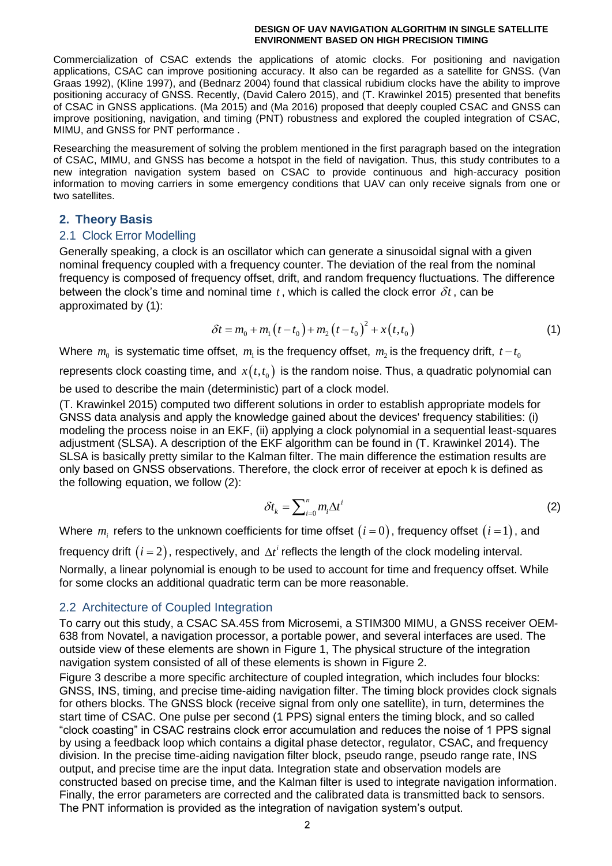Commercialization of CSAC extends the applications of atomic clocks. For positioning and navigation applications, CSAC can improve positioning accuracy. It also can be regarded as a satellite for GNSS. (Van Graas 1992), (Kline 1997), and (Bednarz 2004) found that classical rubidium clocks have the ability to improve positioning accuracy of GNSS. Recently, (David Calero 2015), and (T. Krawinkel 2015) presented that benefits of CSAC in GNSS applications. (Ma 2015) and (Ma 2016) proposed that deeply coupled CSAC and GNSS can improve positioning, navigation, and timing (PNT) robustness and explored the coupled integration of CSAC, MIMU, and GNSS for PNT performance .

Researching the measurement of solving the problem mentioned in the first paragraph based on the integration of CSAC, MIMU, and GNSS has become a hotspot in the field of navigation. Thus, this study contributes to a new integration navigation system based on CSAC to provide continuous and high-accuracy position information to moving carriers in some emergency conditions that UAV can only receive signals from one or two satellites.

## **2. Theory Basis**

## 2.1 Clock Error Modelling

Generally speaking, a clock is an oscillator which can generate a sinusoidal signal with a given nominal frequency coupled with a frequency counter. The deviation of the real from the nominal frequency is composed of frequency offset, drift, and random frequency fluctuations. The difference between the clock's time and nominal time  $t$ , which is called the clock error  $\delta t$ , can be approximated by (1):

$$
\delta t = m_0 + m_1 (t - t_0) + m_2 (t - t_0)^2 + x (t, t_0)
$$
\n(1)

Where  $m_{0}$  is systematic time offset,  $m_{\text{\tiny{l}}}$  is the frequency offset,  $m_{\text{\tiny{2}}}$  is the frequency drift,  $t-t_{0}$ 

represents clock coasting time, and  $x(t,t_0)$  is the random noise. Thus, a quadratic polynomial can be used to describe the main (deterministic) part of a clock model.

(T. Krawinkel 2015) computed two different solutions in order to establish appropriate models for GNSS data analysis and apply the knowledge gained about the devices' frequency stabilities: (i) modeling the process noise in an EKF, (ii) applying a clock polynomial in a sequential least-squares adjustment (SLSA). A description of the EKF algorithm can be found in (T. Krawinkel 2014). The SLSA is basically pretty similar to the Kalman filter. The main difference the estimation results are only based on GNSS observations. Therefore, the clock error of receiver at epoch k is defined as the following equation, we follow (2):

$$
\delta t_k = \sum_{i=0}^n m_i \Delta t^i \tag{2}
$$

Where  $m_i$  refers to the unknown coefficients for time offset  $\left(i\,{=}\,0\right)$ , frequency offset  $\left(i\,{=}\,1\right)$ , and

frequency drift  $(i = 2)$ , respectively, and  $\Delta t^i$  reflects the length of the clock modeling interval. Normally, a linear polynomial is enough to be used to account for time and frequency offset. While for some clocks an additional quadratic term can be more reasonable.

## 2.2 Architecture of Coupled Integration

To carry out this study, a CSAC SA.45S from Microsemi, a STIM300 MIMU, a GNSS receiver OEM-638 from Novatel, a navigation processor, a portable power, and several interfaces are used. The outside view of these elements are shown in Figure 1, The physical structure of the integration navigation system consisted of all of these elements is shown in Figure 2.

Figure 3 describe a more specific architecture of coupled integration, which includes four blocks: GNSS, INS, timing, and precise time-aiding navigation filter. The timing block provides clock signals for others blocks. The GNSS block (receive signal from only one satellite), in turn, determines the start time of CSAC. One pulse per second (1 PPS) signal enters the timing block, and so called "clock coasting" in CSAC restrains clock error accumulation and reduces the noise of 1 PPS signal by using a feedback loop which contains a digital phase detector, regulator, CSAC, and frequency division. In the precise time-aiding navigation filter block, pseudo range, pseudo range rate, INS output, and precise time are the input data. Integration state and observation models are constructed based on precise time, and the Kalman filter is used to integrate navigation information. Finally, the error parameters are corrected and the calibrated data is transmitted back to sensors. The PNT information is provided as the integration of navigation system's output.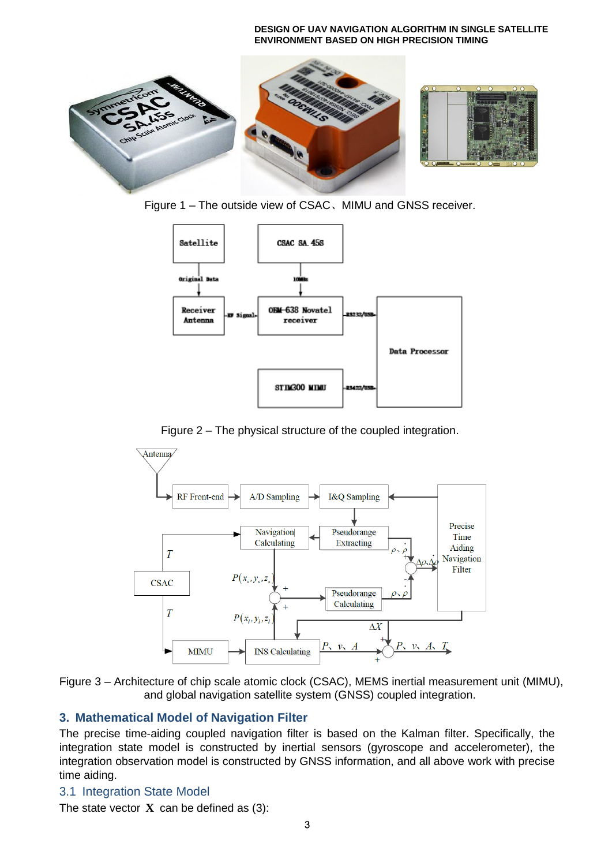

Figure 1 – The outside view of CSAC、MIMU and GNSS receiver.



Figure 2 – The physical structure of the coupled integration.





# **3. Mathematical Model of Navigation Filter**

The precise time-aiding coupled navigation filter is based on the Kalman filter. Specifically, the integration state model is constructed by inertial sensors (gyroscope and accelerometer), the integration observation model is constructed by GNSS information, and all above work with precise time aiding.

## 3.1 Integration State Model

The state vector  $X$  can be defined as  $(3)$ :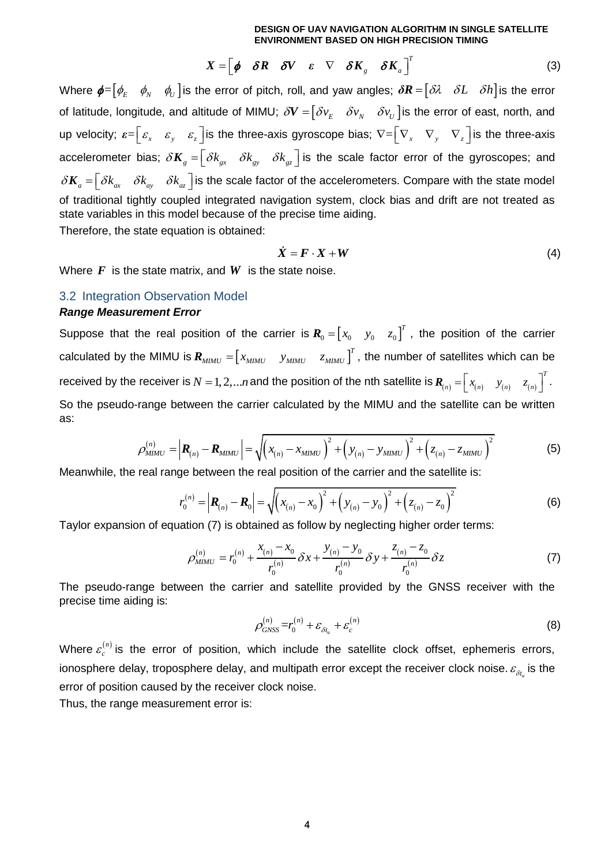$$
X = \begin{bmatrix} \phi & \delta R & \delta V & \varepsilon & \nabla & \delta K_{g} & \delta K_{a} \end{bmatrix}^{T}
$$
 (3)

Where  $\pmb{\phi} {=} \begin{bmatrix} \phi_E & \phi_N & \phi_U \end{bmatrix}$ is the error of pitch, roll, and yaw angles;  $\pmb{\delta R} {=} \begin{bmatrix} \delta\lambda & \delta L & \delta h \end{bmatrix}$ is the error of latitude, longitude, and altitude of MIMU;  $\delta V = [\delta v_{_E} \quad \delta v_{_N} \quad \delta v_{_U}]$  is the error of east, north, and up velocity;  $\bm{\epsilon} = \begin{bmatrix} \bm{\epsilon}_x & \bm{\epsilon}_y & \bm{\epsilon}_z \end{bmatrix}$  is the three-axis gyroscope bias;  $\nabla = \begin{bmatrix} \nabla_x & \nabla_y & \nabla_z \end{bmatrix}$  is the three-axis accelerometer bias;  $\delta \bm{K}_g = \begin{bmatrix} \delta k_{gx} & \delta k_{gy} & \delta k_{gz} \end{bmatrix}$  is the scale factor error of the gyroscopes; and  $\delta \bm{K}_a = \begin{bmatrix} \delta k_{ax} & \delta k_{ay} & \delta k_{az} \end{bmatrix}$  is the scale factor of the accelerometers. Compare with the state model of traditional tightly coupled integrated navigation system, clock bias and drift are not treated as state variables in this model because of the precise time aiding. Therefore, the state equation is obtained:

$$
\dot{X} = F \cdot X + W \tag{4}
$$

Where  $\boldsymbol{F}$  is the state matrix, and  $\boldsymbol{W}$  is the state noise.

# 3.2 Integration Observation Model

### *Range Measurement Error*

Suppose that the real position of the carrier is  $\bm{R}_0 = \begin{bmatrix} x_0 & y_0 & z_0 \end{bmatrix}^T$ , the position of the carrier calculated by the MIMU is  $\bm{R}_{MIMU} = \begin{bmatrix} x_{MIMU} & y_{MIMU} & z_{MIMU} \end{bmatrix}^T$  $\boldsymbol{R}_{\textit{MIMU}} = \begin{bmatrix} x_{\textit{MIMU}} & y_{\textit{MIMU}} & z_{\textit{MIMU}} \end{bmatrix}^T$ , the number of satellites which can be received by the receiver is  $N=1,2,...n$  and the position of the nth satellite is  $R_{(n)}=\left|x_{(n)}-y_{(n)}-z_{(n)}\right|$ *T*  $\bm{R}_{(n)} = \begin{bmatrix} x_{(n)} & y_{(n)} & z_{(n)} \end{bmatrix}^T$ . So the pseudo-range between the carrier calculated by the MIMU and the satellite can be written as:<br>  $\rho_{MIMU}^{(n)} = \left| \mathbf{R}_{(n)} - \mathbf{R}_{MIMU} \right| = \sqrt{\left( x_{(n)} - x_{MIMU} \right)^2 + \left( y_{(n)} - y_{MIMU} \right)^2 + \left( z_{(n)} - z_{MIMU} \right)^2}$  (5) as:

$$
\rho_{MIMU}^{(n)} = \left| \mathbf{R}_{(n)} - \mathbf{R}_{MIMU} \right| = \sqrt{\left( x_{(n)} - x_{MIMU} \right)^2 + \left( y_{(n)} - y_{MIMU} \right)^2 + \left( z_{(n)} - z_{MIMU} \right)^2}
$$
(5)

Meanwhile, the real range between the real position of the carrier and the satellite is:  

$$
r_0^{(n)} = |\mathbf{R}_{(n)} - \mathbf{R}_0| = \sqrt{(x_{(n)} - x_0)^2 + (y_{(n)} - y_0)^2 + (z_{(n)} - z_0)^2}
$$
(6)

Taylor expansion of equation (7) is obtained as follow by neglecting higher order terms:<br> $a^{(n)} = r^{(n)} + \frac{x_{(n)} - x_0}{r} \delta x + \frac{y_{(n)} - y_0}{r} \delta y + \frac{z_{(n)} - z_0}{r} \delta z$ 

$$
\rho_{MIMU}^{(n)} = r_0^{(n)} + \frac{x_{(n)} - x_0}{r_0^{(n)}} \delta x + \frac{y_{(n)} - y_0}{r_0^{(n)}} \delta y + \frac{z_{(n)} - z_0}{r_0^{(n)}} \delta z
$$
(7)

The pseudo-range between the carrier and satellite provided by the GNSS receiver with the precise time aiding is:

$$
\rho_{GNSS}^{(n)} = r_0^{(n)} + \varepsilon_{\delta t_u} + \varepsilon_c^{(n)}
$$
\n(8)

Where  $\varepsilon_c^{(n)}$  $\varepsilon_c^{(n)}$  is the error of position, which include the satellite clock offset, ephemeris errors, ionosphere delay, troposphere delay, and multipath error except the receiver clock noise.  $\varepsilon_{_{\delta t_u}}$  is the error of position caused by the receiver clock noise.

Thus, the range measurement error is: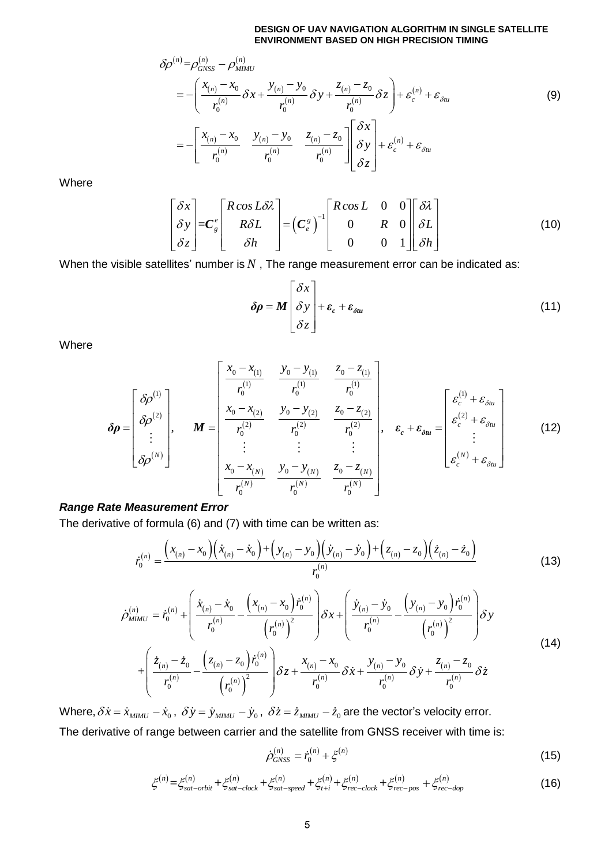$$
\delta \rho^{(n)} = \rho_{GNSS}^{(n)} - \rho_{MMU}^{(n)}
$$
  
\n
$$
\delta \rho^{(n)} = \rho_{GNSS}^{(n)} - \rho_{MMU}^{(n)}
$$
  
\n
$$
= -\left(\frac{x_{(n)} - x_0}{r_0^{(n)}} \delta x + \frac{y_{(n)} - y_0}{r_0^{(n)}} \delta y + \frac{z_{(n)} - z_0}{r_0^{(n)}} \delta z\right) + \varepsilon_c^{(n)} + \varepsilon_{\delta u}
$$
  
\n
$$
= -\left[\frac{x_{(n)} - x_0}{r_0^{(n)}} - \frac{y_{(n)} - y_0}{r_0^{(n)}} - \frac{z_{(n)} - z_0}{r_0^{(n)}}\right] \left[\frac{\delta x}{\delta y}\right] + \varepsilon_c^{(n)} + \varepsilon_{\delta u}
$$
  
\n(9)

Where

$$
\begin{bmatrix} \delta x \\ \delta y \\ \delta z \end{bmatrix} = C_g^e \begin{bmatrix} R \cos L \delta \lambda \\ R \delta L \\ \delta h \end{bmatrix} = \left(C_e^g\right)^{-1} \begin{bmatrix} R \cos L & 0 & 0 \\ 0 & R & 0 \\ 0 & 0 & 1 \end{bmatrix} \begin{bmatrix} \delta \lambda \\ \delta L \\ \delta h \end{bmatrix}
$$
(10)

When the visible satellites' number is  $N$  , The range measurement error can be indicated as:

$$
\delta \rho = M \begin{bmatrix} \delta x \\ \delta y \\ \delta z \end{bmatrix} + \varepsilon_c + \varepsilon_{\delta t u} \tag{11}
$$

Where

$$
\delta \rho = \begin{bmatrix} \delta \rho^{(1)} \\ \delta \rho^{(2)} \\ \vdots \\ \delta \rho^{(N)} \end{bmatrix}, \qquad M = \begin{bmatrix} \frac{x_0 - x_{(1)}}{r_0^{(1)}} & \frac{y_0 - y_{(1)}}{r_0^{(1)}} & \frac{z_0 - z_{(1)}}{r_0^{(1)}} \\ \frac{x_0 - x_{(2)}}{r_0^{(2)}} & \frac{y_0 - y_{(2)}}{r_0^{(2)}} & \frac{z_0 - z_{(2)}}{r_0^{(2)}} \\ \vdots & \vdots & \vdots \\ \frac{x_0 - x_{(N)}}{r_0^{(N)}} & \frac{y_0 - y_{(N)}}{r_0^{(N)}} & \frac{z_0 - z_{(N)}}{r_0^{(N)}} \end{bmatrix}, \qquad \varepsilon_c + \varepsilon_{\delta u} = \begin{bmatrix} \varepsilon_c^{(1)} + \varepsilon_{\delta u} \\ \varepsilon_c^{(2)} + \varepsilon_{\delta u} \\ \vdots \\ \varepsilon_c^{(N)} + \varepsilon_{\delta u} \end{bmatrix}
$$
(12)

### *Range Rate Measurement Error*

The derivative of formula (6) and (7) with time can be written as:

$$
\begin{aligned}\n\text{We assume that } \text{Error} \\
\text{of formula (6) and (7) with time can be written as:} \\
\dot{r}_0^{(n)} &= \frac{\left(x_{(n)} - x_0\right)\left(\dot{x}_{(n)} - \dot{x}_0\right) + \left(y_{(n)} - y_0\right)\left(\dot{y}_{(n)} - \dot{y}_0\right) + \left(z_{(n)} - z_0\right)\left(\dot{z}_{(n)} - \dot{z}_0\right)}{r_0^{(n)}} \\
\text{(13)} \\
\dot{r}_0^{(n)} &= \frac{\left(\dot{x}_{(n)} - \dot{x}_0\right)\left(\dot{x}_{(n)} - \dot{x}_0\right) + \left(y_{(n)} - y_0\right)\dot{r}_0^{(n)}}{r_0^{(n)}}\n\end{aligned}
$$

$$
\dot{r}_{0}^{(n)} = \frac{\dot{r}_{0}^{(n)} - \dot{r}_{0}^{(n)} \dot{\sigma}_{0}^{(n)}}{r_{0}^{(n)}}
$$
(13)  

$$
\dot{\rho}_{MIMU}^{(n)} = \dot{r}_{0}^{(n)} + \left( \frac{\dot{x}_{(n)} - \dot{x}_{0}}{r_{0}^{(n)}} - \frac{\left(x_{(n)} - x_{0}\right)\dot{r}_{0}^{(n)}}{\left(r_{0}^{(n)}\right)^{2}} \right) \delta x + \left( \frac{\dot{y}_{(n)} - \dot{y}_{0}}{r_{0}^{(n)}} - \frac{\left(y_{(n)} - y_{0}\right)\dot{r}_{0}^{(n)}}{\left(r_{0}^{(n)}\right)^{2}} \right) \delta y
$$
(14)  

$$
+ \left( \frac{\dot{z}_{(n)} - \dot{z}_{0}}{r_{0}^{(n)}} - \frac{\left(z_{(n)} - z_{0}\right)\dot{r}_{0}^{(n)}}{\left(r_{0}^{(n)}\right)^{2}} \right) \delta z + \frac{x_{(n)} - x_{0}}{r_{0}^{(n)}} \delta \dot{x} + \frac{y_{(n)} - y_{0}}{r_{0}^{(n)}} \delta \dot{y} + \frac{z_{(n)} - z_{0}}{r_{0}^{(n)}} \delta \dot{z}
$$
(14)

Where,  $\delta \dot{x} = \dot{x}_{MIMU} - \dot{x}_0$ ,  $\delta \dot{y} = \dot{y}_{MIMU} - \dot{y}_0$ ,  $\delta \dot{z} = \dot{z}_{MIMU} - \dot{z}_0$  are the vector's velocity error.

The derivative of range between carrier and the satellite from GNSS receiver with time is:

$$
\dot{\rho}_{GNSS}^{(n)} = \dot{r}_0^{(n)} + \xi^{(n)} \tag{15}
$$

$$
\dot{\rho}_{GNSS}^{(n)} = \dot{r}_0^{(n)} + \xi^{(n)}
$$
(15)  

$$
\xi^{(n)} = \xi_{sat-orbit}^{(n)} + \xi_{sat-clock}^{(n)} + \xi_{sat-speed}^{(n)} + \xi_{t+i}^{(n)} + \xi_{rec-clock}^{(n)} + \xi_{rec-pos}^{(n)} + \xi_{rec-dop}^{(n)}
$$
(16)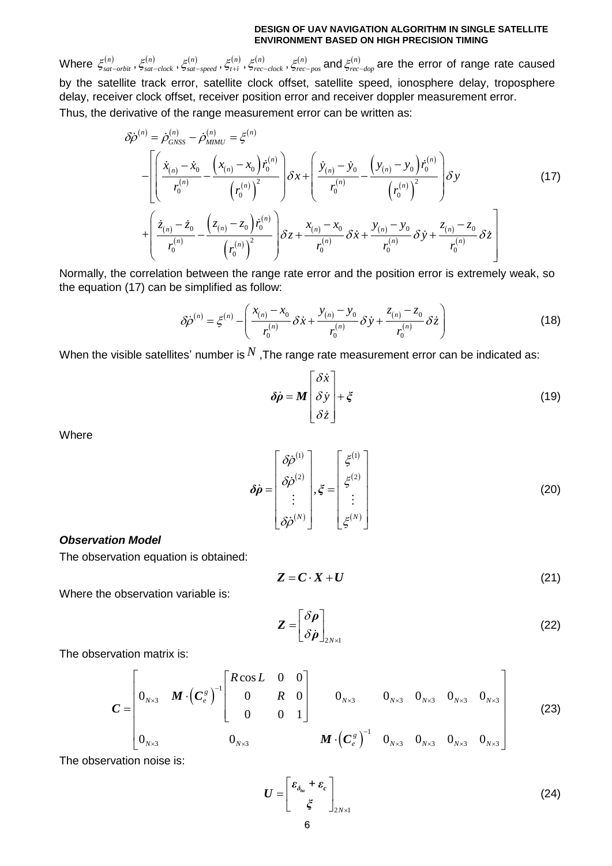Where  $\xi_{sat-orbit}^{(n)}, \xi_{sat-clock}^{(n)}, \xi_{sat-speed}^{(n)}, \xi_{t+i}^{(n)}, \xi_{rec-clock}^{(n)}, \xi_{rec}^{(n)}$  $\xi_{rec-pos}^{(n)}$  and  $\xi_{rec-dop}^{(n)}$  are the error of range rate caused by the satellite track error, satellite clock offset, satellite speed, ionosphere delay, troposphere

Thus, the derivative of the range measurement error can be written as:<br> $\delta \dot{\rho}^{(n)} = \dot{\rho}_{\text{cavss}}^{(n)} - \dot{\rho}_{\text{aunv}}^{(n)} = \xi^{(n)}$ 

delay, receiver clock offset, receiver position error and receiver doppler measurement error.  
\nThus, the derivative of the range measurement error can be written as:  
\n
$$
\delta \dot{\rho}^{(n)} = \dot{\rho}_{GNSS}^{(n)} - \dot{\rho}_{MIMU}^{(n)} = \xi^{(n)}
$$
\n
$$
-\left[ \left( \frac{\dot{x}_{(n)} - \dot{x}_0}{r_0^{(n)}} - \frac{\left( x_{(n)} - x_0 \right) \dot{r}_0^{(n)}}{\left( r_0^{(n)} \right)^2} \right) \delta x + \left( \frac{\dot{y}_{(n)} - \dot{y}_0}{r_0^{(n)}} - \frac{\left( y_{(n)} - y_0 \right) \dot{r}_0^{(n)}}{\left( r_0^{(n)} \right)^2} \right) \delta y \tag{17}
$$
\n
$$
+ \left( \frac{\dot{z}_{(n)} - \dot{z}_0}{r_0^{(n)}} - \frac{\left( z_{(n)} - z_0 \right) \dot{r}_0^{(n)}}{\left( r_0^{(n)} \right)^2} \right) \delta z + \frac{x_{(n)} - x_0}{r_0^{(n)}} \delta \dot{x} + \frac{y_{(n)} - y_0}{r_0^{(n)}} \delta \dot{y} + \frac{z_{(n)} - z_0}{r_0^{(n)}} \delta \dot{z} \right]
$$
\nMearrible, the correlation between the response rate, were and the precision is determined by the system of the system is not equal to the

Normally, the correlation between the range rate error and the position error is extremely weak, so the equation (17) can be simplified as follow:

s simplified as follow:  
\n
$$
\delta \dot{\rho}^{(n)} = \xi^{(n)} - \left( \frac{x_{(n)} - x_0}{r_0^{(n)}} \delta \dot{x} + \frac{y_{(n)} - y_0}{r_0^{(n)}} \delta \dot{y} + \frac{z_{(n)} - z_0}{r_0^{(n)}} \delta \dot{z} \right)
$$
\n(18)

When the visible satellites' number is  $^N$  ,The range rate measurement error can be indicated as:

$$
\delta \dot{\rho} = M \begin{bmatrix} \delta \dot{x} \\ \delta \dot{y} \\ \delta \dot{z} \end{bmatrix} + \xi \tag{19}
$$

Where

$$
\delta \dot{\rho} = \begin{bmatrix} \delta \dot{\rho}^{(1)} \\ \delta \dot{\rho}^{(2)} \\ \vdots \\ \delta \dot{\rho}^{(N)} \end{bmatrix}, \xi = \begin{bmatrix} \xi^{(1)} \\ \xi^{(2)} \\ \vdots \\ \xi^{(N)} \end{bmatrix}
$$
(20)

### *Observation Model*

The observation equation is obtained:

$$
Z = C \cdot X + U \tag{21}
$$

Where the observation variable is:

$$
Z = \begin{bmatrix} \delta \rho \\ \delta \dot{\rho} \end{bmatrix}_{2N \times 1}
$$
 (22)

The observation matrix is:

$$
\mathbf{z} = \begin{bmatrix} 6\dot{\rho} \end{bmatrix}_{2N\times 1}
$$
\n
$$
\mathbf{c} = \begin{bmatrix} 6\dot{\rho} \end{bmatrix}_{2N\times 1}
$$
\n
$$
\mathbf{c} = \begin{bmatrix} 6\dot{\rho} \end{bmatrix}_{N\times 3} \quad \mathbf{M} \cdot (\mathbf{C}_{e}^{s})^{-1} \begin{bmatrix} R\cos L & 0 & 0 \\ 0 & R & 0 \\ 0 & 0 & 1 \end{bmatrix} \quad \begin{bmatrix} 0_{N\times 3} & 0_{N\times 3} & 0_{N\times 3} & 0_{N\times 3} \\ 0_{N\times 3} & 0_{N\times 3} & 0_{N\times 3} & 0_{N\times 3} \\ 0_{N\times 3} & 0_{N\times 3} & 0_{N\times 3} & 0_{N\times 3} & 0_{N\times 3} \end{bmatrix}
$$
\n(23)

The observation noise is:

$$
U = \begin{bmatrix} \varepsilon_{\delta_{lu}} + \varepsilon_c \\ \xi \end{bmatrix}_{2N \times 1}
$$
 (24)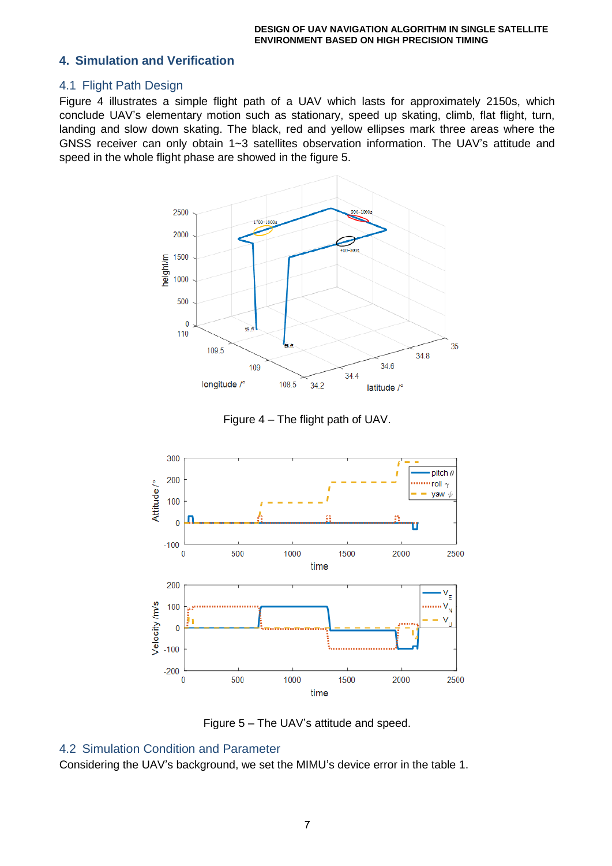## **4. Simulation and Verification**

## 4.1 Flight Path Design

Figure 4 illustrates a simple flight path of a UAV which lasts for approximately 2150s, which conclude UAV's elementary motion such as stationary, speed up skating, climb, flat flight, turn, landing and slow down skating. The black, red and yellow ellipses mark three areas where the GNSS receiver can only obtain 1~3 satellites observation information. The UAV's attitude and speed in the whole flight phase are showed in the figure 5.







Figure 5 – The UAV's attitude and speed.

# 4.2 Simulation Condition and Parameter

Considering the UAV's background, we set the MIMU's device error in the table 1.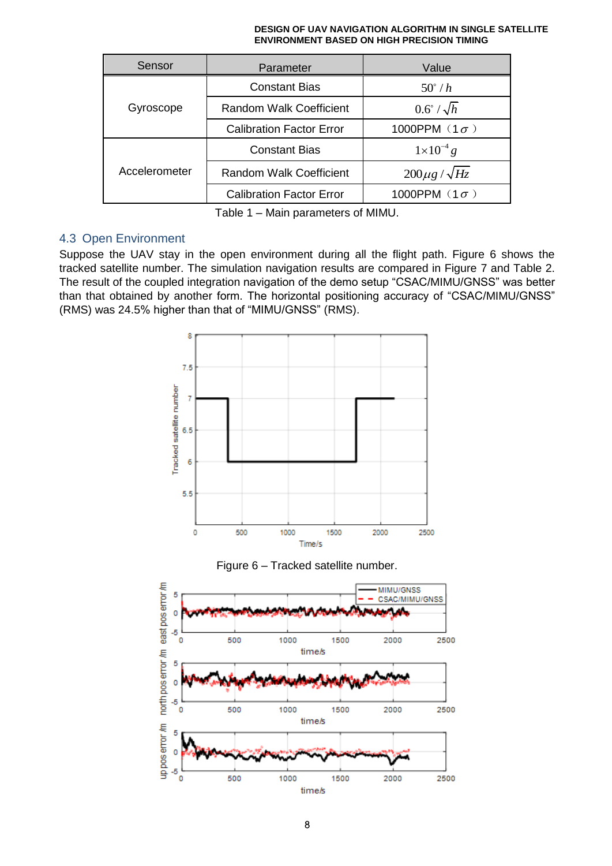| Sensor        | Parameter                       | Value                  |  |
|---------------|---------------------------------|------------------------|--|
| Gyroscope     | <b>Constant Bias</b>            | $50^\circ/h$           |  |
|               | Random Walk Coefficient         | $0.6^\circ / \sqrt{h}$ |  |
|               | <b>Calibration Factor Error</b> | 1000PPM $(1\sigma)$    |  |
| Accelerometer | <b>Constant Bias</b>            | $1 \times 10^{-4} g$   |  |
|               | Random Walk Coefficient         | $200\mu g / \sqrt{Hz}$ |  |
|               | <b>Calibration Factor Error</b> | 1000PPM $(1\sigma)$    |  |

Table 1 – Main parameters of MIMU.

# 4.3 Open Environment

Suppose the UAV stay in the open environment during all the flight path. Figure 6 shows the tracked satellite number. The simulation navigation results are compared in Figure 7 and Table 2. The result of the coupled integration navigation of the demo setup "CSAC/MIMU/GNSS" was better than that obtained by another form. The horizontal positioning accuracy of "CSAC/MIMU/GNSS" (RMS) was 24.5% higher than that of "MIMU/GNSS" (RMS).





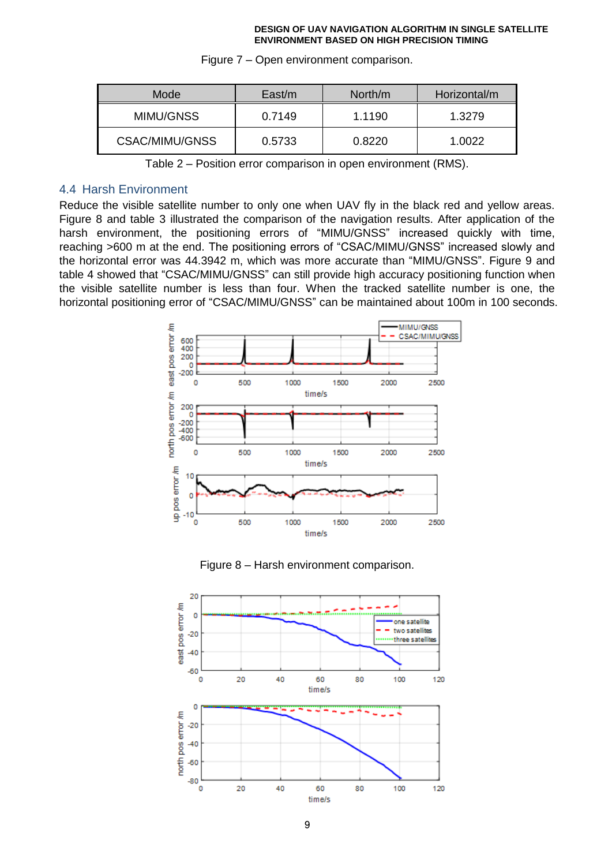| Mode           | East/m | North/m | Horizontal/m |
|----------------|--------|---------|--------------|
| MIMU/GNSS      | 0.7149 | 1.1190  | 1.3279       |
| CSAC/MIMU/GNSS | 0.5733 | 0.8220  | 1.0022       |

Figure 7 – Open environment comparison.

Table 2 – Position error comparison in open environment (RMS).

### 4.4 Harsh Environment

Reduce the visible satellite number to only one when UAV fly in the black red and yellow areas. Figure 8 and table 3 illustrated the comparison of the navigation results. After application of the harsh environment, the positioning errors of "MIMU/GNSS" increased quickly with time, reaching >600 m at the end. The positioning errors of "CSAC/MIMU/GNSS" increased slowly and the horizontal error was 44.3942 m, which was more accurate than "MIMU/GNSS". Figure 9 and table 4 showed that "CSAC/MIMU/GNSS" can still provide high accuracy positioning function when the visible satellite number is less than four. When the tracked satellite number is one, the horizontal positioning error of "CSAC/MIMU/GNSS" can be maintained about 100m in 100 seconds.





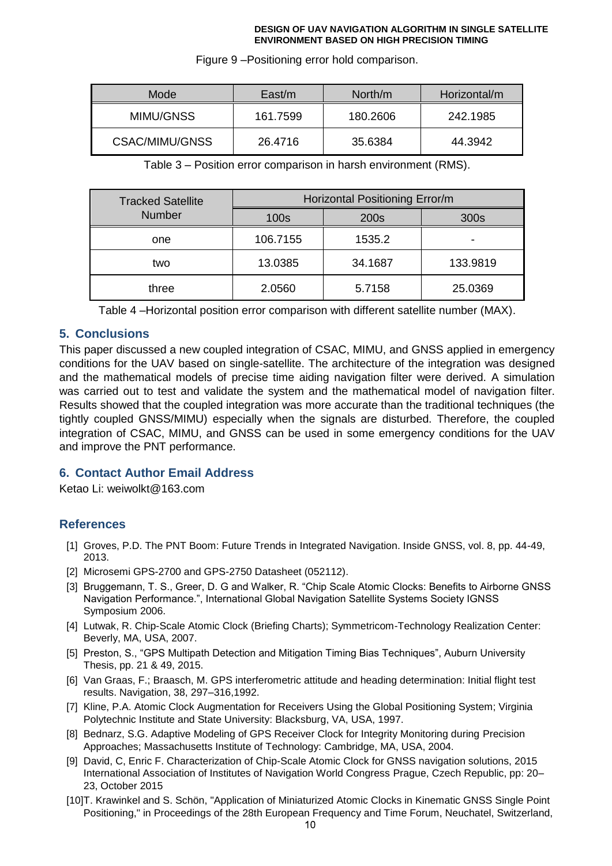| Mode           | East/m   | North/m  | Horizontal/m |
|----------------|----------|----------|--------------|
| MIMU/GNSS      | 161.7599 | 180.2606 | 242.1985     |
| CSAC/MIMU/GNSS | 26.4716  | 35.6384  | 44.3942      |

Figure 9 –Positioning error hold comparison.

Table 3 – Position error comparison in harsh environment (RMS).

| <b>Tracked Satellite</b> | Horizontal Positioning Error/m |         |          |
|--------------------------|--------------------------------|---------|----------|
| <b>Number</b>            | 100s                           | 200s    | 300s     |
| one                      | 106.7155                       | 1535.2  |          |
| two                      | 13.0385                        | 34.1687 | 133.9819 |
| three                    | 2.0560                         | 5.7158  | 25.0369  |

Table 4 –Horizontal position error comparison with different satellite number (MAX).

# **5. Conclusions**

This paper discussed a new coupled integration of CSAC, MIMU, and GNSS applied in emergency conditions for the UAV based on single-satellite. The architecture of the integration was designed and the mathematical models of precise time aiding navigation filter were derived. A simulation was carried out to test and validate the system and the mathematical model of navigation filter. Results showed that the coupled integration was more accurate than the traditional techniques (the tightly coupled GNSS/MIMU) especially when the signals are disturbed. Therefore, the coupled integration of CSAC, MIMU, and GNSS can be used in some emergency conditions for the UAV and improve the PNT performance.

# **6. Contact Author Email Address**

Ketao Li: weiwolkt@163.com

## **References**

- [1] Groves, P.D. The PNT Boom: Future Trends in Integrated Navigation. Inside GNSS, vol. 8, pp. 44-49, 2013.
- [2] Microsemi GPS-2700 and GPS-2750 Datasheet (052112).
- [3] Bruggemann, T. S., Greer, D. G and Walker, R. "Chip Scale Atomic Clocks: Benefits to Airborne GNSS Navigation Performance.", International Global Navigation Satellite Systems Society IGNSS Symposium 2006.
- [4] Lutwak, R. Chip-Scale Atomic Clock (Briefing Charts); Symmetricom-Technology Realization Center: Beverly, MA, USA, 2007.
- [5] Preston, S., "GPS Multipath Detection and Mitigation Timing Bias Techniques", Auburn University Thesis, pp. 21 & 49, 2015.
- [6] Van Graas, F.; Braasch, M. GPS interferometric attitude and heading determination: Initial flight test results. Navigation, 38, 297–316,1992.
- [7] Kline, P.A. Atomic Clock Augmentation for Receivers Using the Global Positioning System; Virginia Polytechnic Institute and State University: Blacksburg, VA, USA, 1997.
- [8] Bednarz, S.G. Adaptive Modeling of GPS Receiver Clock for Integrity Monitoring during Precision Approaches; Massachusetts Institute of Technology: Cambridge, MA, USA, 2004.
- [9] David, C, Enric F. Characterization of Chip-Scale Atomic Clock for GNSS navigation solutions, 2015 International Association of Institutes of Navigation World Congress Prague, Czech Republic, pp: 20– 23, October 2015
- [10]T. Krawinkel and S. Schön, "Application of Miniaturized Atomic Clocks in Kinematic GNSS Single Point Positioning," in Proceedings of the 28th European Frequency and Time Forum, Neuchatel, Switzerland,